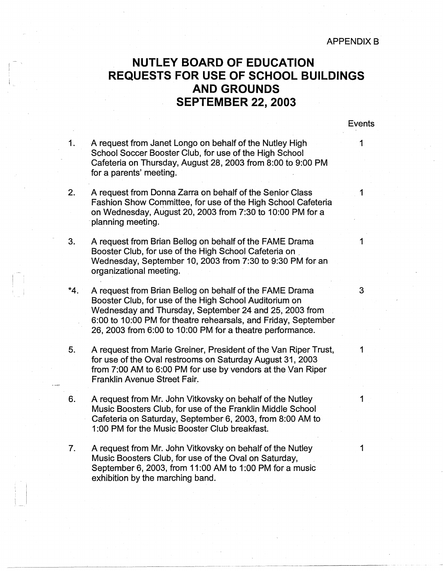**APPENDIX B** 

## ' **NUTLEY BOARD OF EDUCATION** <sup>I</sup> <sup>I</sup>**REQUESTS FOR USE OF SCHOOL BUILDINGS AND GROUNDS SEPTEMBER 22, 2003**

Events

--------·. - - -

1. A request from Janet Longo on behalf of the Nutley High 1 School Soccer Booster Club, for use of the High School Cafeteria on Thursday, August 28, 2003 from 8:00 to 9:00 PM for a parents' meeting.

-

 $\blacksquare$ 

I

- 2. A request from Donna Zarra on behalf of the Senior Class Fashion Show Committee, for use of the High School Cafeteria on Wednesday, August 20, 2003 from 7:30 to 10:00 PM for a · planning meeting.
- 3. A request from Brian Bellog on behalf of the FAME Drama 1 Booster Club, for use of the High School Cafeteria on \_ Wednesday, September 10, 2003 from 7:30 to 9:30 PM for an organizational meeting.
- <sup>I</sup>**\*4.** A request from Brian Bellog on behalf of the FAME Drama 3 I Booster Club, for use of the High School Auditorium on Wednesday and Thursday, September 24 and 25, 2003 from 6:00 to 10:00 PM for theatre rehearsals, and Friday, September 26, 2003 from 6:00 to 10:00 PM for a theatre performance.
- 5. A request from Marie Greiner, President of the Van Riper Trust, 1 for use of the Oval restrooms on Saturday August 31, 2003 from 7:00 AM to 6:00 PM for use by vendors at the Van Riper Franklin Avenue Street Fair.
- 6. A request from Mr. John Vitkovsky on behalf of the Nutley 1 Music Boosters Club, for use of the Franklin Middle School Cafeteria on Saturday, September 6, 2003, from 8:00 AM to 1:00 PM for the Music Booster Club breakfast.
- 7. A request from Mr. John Vitkovsky on behalf of the Nutley 1 Music Boosters Club, for use of the Oval on Saturday, September 6, 2003, from 11:00 AM to 1:00 PM for a music exhibition by the marching band.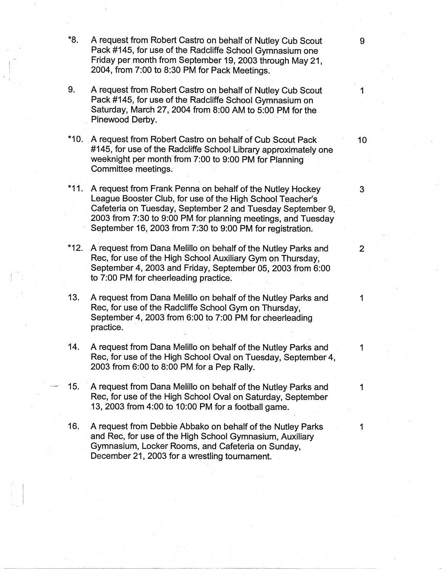- \*8. A request from Robert Castro on behalf of Nutley Cub Scout 9 Pack #145, for use of the Radcliffe School Gymnasium one Friday per month from September 19, 2003 through May 21, 2004, from 7:00 to 8:30 PM for Pack Meetings.
- 9. A request from Robert Castro on behalf of Nutley Cub Scout 1 Pack #145, for use of the Radcliffe School Gymnasium on Saturday, March 27, 2004 from 8:00 AM to 5:00 PM for the Pinewood Derby.
- \*10. A request from Robert Castro on behalf of Cub Scout Pack 10 #145, for use of the Radcliffe School Library approximately one weeknight per month from 7:00 to 9:00 PM for Planning Committee meetings.·
- \*11. A request from Frank Penna on behalf of the Nutley Hockey 3 League Booster Club, for use of the High School Teacher's Cafeteria on Tuesday, September 2 and Tuesday September 9, 2003 from 7:30 to 9:00 PM for planning meetings, and Tuesday September 16, 2003 from 7:30 to 9:00 PM for registration.
- \*12. A request from Dana Melillo on behalf of the Nutley Parks and 2 Rec, for use of the High School Auxiliary Gym on Thursday, September 4, 2003 and Friday, September 05, 2003 from 6:00 to 7:00 PM for cheerleading practice.
- 13. A request from Dana Melillo on behalf of the Nutley Parks and 1 Rec, for use of the Radcliffe School Gym on Thursday, September 4, 2003 from 6:00 to 7:00 PM for cheerleading practice.

.

- 14. A request from Dana Melillo on behalf of the Nutley Parks and 1 Rec, for use of the High School Oval on Tuesday, September 4, 2003 from 6:00 to 8:00 PM for a Pep Rally.
- 15. A request from Dana Melillo on behalf of the Nutley Parks and 1 Rec, for use of the High School Oval on Saturday, September 13, 2003 from 4:00 to 10:00 PM for a football game.
	- 16. A request from Debbie Abbako on behalf of the Nutley Parks 1 and Rec, for use of the High School Gymnasium, Auxiliary Gymnasium, Locker Rooms, and Cafeteria on Sunday, December 21, 2003 for a wrestling tournament.

-~~-~·~·-· -----· --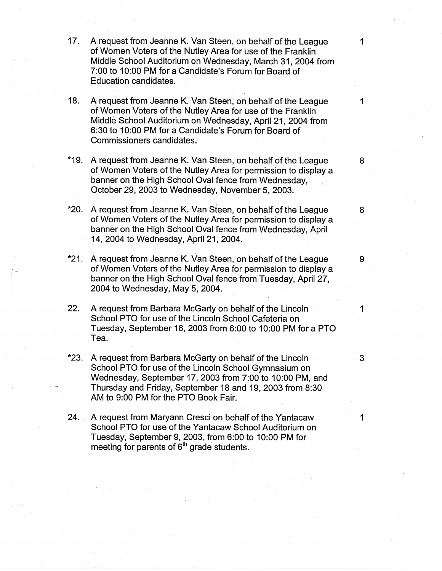- 17. A request from Jeanne K. Van Steen, on behalf of the League 1 of Women Voters of the Nutley Area for use of the Franklin Middle School Auditorium on Wednesday, March 31, 2004 from 7:00 to 10:00 PM for a Candidate's Forum for Board of Education candidates.
- **18.** A request from Jeanne K. Van Steen, on behalf of the League 1 ofWomen Voters of the Nutley Area for use of the Franklin Middle School Auditorium on Wednesday, April 21, 2004 from 6:30 to 10:00 PM for a Candidate's Forum for Board of Commissioners candidates.
- \*19. A request from Jeanne K. Van Steen, on behalf of the League 8 of Women Voters of the Nutley Area for permission to display a banner on the High School Oval fence from Wednesday, October 29, 2003 to Wednesday, November 5, 2003.
- \*20. A request from Jeanne K. Van Steen, on behalf of the League 8 of Women Voters of the Nutley Area for permission to display a bahner on the High School Oval fence from Wednesday, April 14, 2004 to Wednesday, April 21, 2004.
- \*21. A request from Jeanne K. Van Steen, on behalf of the League 9 of Women Voters of the Nutley Area for permission to display a banner on the High School Oval fence from Tuesday, April 27, 2004 to Wednesday, May 5, 2004.
- **22.** A request from Barbara McGarty on behalf of the Lincoln 1 School PTO for use of the Lincoln School Cafeteria on Tuesday, September 16, 2003 from 6:00 to 10:00 PM for a PTO Tea.
- **\*23.** A request from Barbara McGarty on behalf of the Lincoln 3 School PTO for use of the Lincoln School Gymnasium on Wednesday, September 17, 2003 from 7:00 to 10:00 PM, and Thursday and Friday, September 18 and 19, 2003 from 8:30 AM to 9:00 PM for the PTO Book Fair.
- **24.** A request from Maryann Cresci on behalf of the Yantacaw 1 School PTO for use of the Yantacaw School Auditorium on Tuesday, September 9, 2003, from 6:00 to 10:00 PM for meeting for parents of  $6<sup>th</sup>$  grade students.

---------~--------- - ·--·--------------- -----------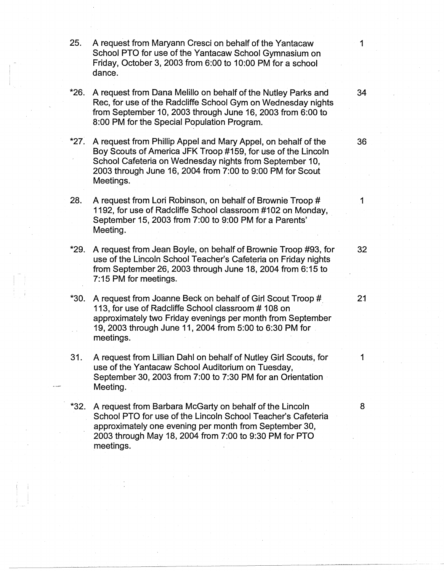25. A request from Maryann Cresci on behalf of the Yantacaw 1 School PTO for use of the Yantacaw School Gymnasium on Friday, October 3, 2003 from 6:00 to 10:00 PM for a school dance.

- \*26. A request from Dana Melillo on behalf of the Nutley Parks and 34 Rec, for use of the Radcliffe School Gym on Wednesday nights from September 10, 2003 through June 16, 2003 from 6:00 to 8:00 PM for the Special Population Program.
- \*27: A request from Phillip Appel and Mary Appel, on behalf of the 36 Bov Scouts of America JFK Troop #159, for use of the Lincoln School Cafeteria on Wednesday nights from September 10, 2003 through June 16, 2004 from 7:00 to 9:00 PM for Scout Meetings.
- 28. A request from Lori Robinson, on behalf of Brownie Troop # 1 1192, for use of Radcliffe School classroom #102 on Monday, September 15, 2003 from 7:00 to 9:00 PM for a Parents' Meeting.
- \*29. A request from Jean Boyle, on behalf of Brownie Troop #93, for 32 use of the Lincoln School Teacher's Cafeteria on Friday nights from September 26, 2003 through June 18, 2004 from 6:15 to 7: 15 PM for meetings.
- \*30. A request from Joanne Beck on behalf of Girl Scout Troop #. 21 113, for use of Radcliffe School classroom # 108 on approximately two Friday evenings per month from September 19, 2003 through June 11, 2004 from 5:00 to 6:30 PM for meetings.
- 31. A request from Lillian Dahl on behalf of Nutley Girl Scouts, for 1 use of the Yantacaw School Auditorium on Tuesday, September 30, 2003 from 7:00 to 7:30 PM for an Orientation Meeting.
- \*32. A request from Barbara McGarty on behalf of the Lincoln 8 School PTO for use of the Lincoln School Teacher's Cafeteria approximately one evening per month from September 30, 2003 through May 18, 2004 from 7:00 to 9:30 PM for PTO meetings.